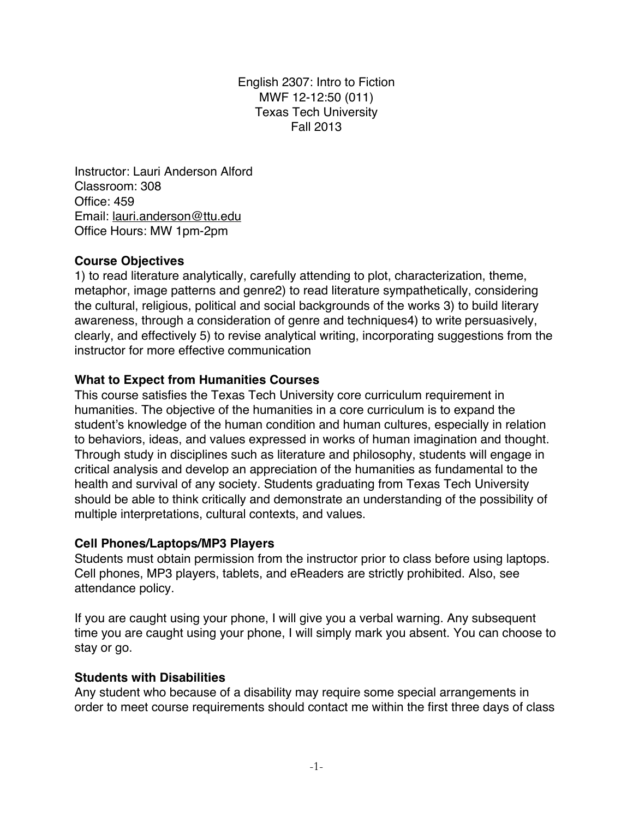English 2307: Intro to Fiction MWF 12-12:50 (011) Texas Tech University Fall 2013

Instructor: Lauri Anderson Alford Classroom: 308 Office: 459 Email: lauri.anderson@ttu.edu Office Hours: MW 1pm-2pm

## **Course Objectives**

1) to read literature analytically, carefully attending to plot, characterization, theme, metaphor, image patterns and genre2) to read literature sympathetically, considering the cultural, religious, political and social backgrounds of the works 3) to build literary awareness, through a consideration of genre and techniques4) to write persuasively, clearly, and effectively 5) to revise analytical writing, incorporating suggestions from the instructor for more effective communication

#### **What to Expect from Humanities Courses**

This course satisfies the Texas Tech University core curriculum requirement in humanities. The objective of the humanities in a core curriculum is to expand the student's knowledge of the human condition and human cultures, especially in relation to behaviors, ideas, and values expressed in works of human imagination and thought. Through study in disciplines such as literature and philosophy, students will engage in critical analysis and develop an appreciation of the humanities as fundamental to the health and survival of any society. Students graduating from Texas Tech University should be able to think critically and demonstrate an understanding of the possibility of multiple interpretations, cultural contexts, and values.

#### **Cell Phones/Laptops/MP3 Players**

Students must obtain permission from the instructor prior to class before using laptops. Cell phones, MP3 players, tablets, and eReaders are strictly prohibited. Also, see attendance policy.

If you are caught using your phone, I will give you a verbal warning. Any subsequent time you are caught using your phone, I will simply mark you absent. You can choose to stay or go.

#### **Students with Disabilities**

Any student who because of a disability may require some special arrangements in order to meet course requirements should contact me within the first three days of class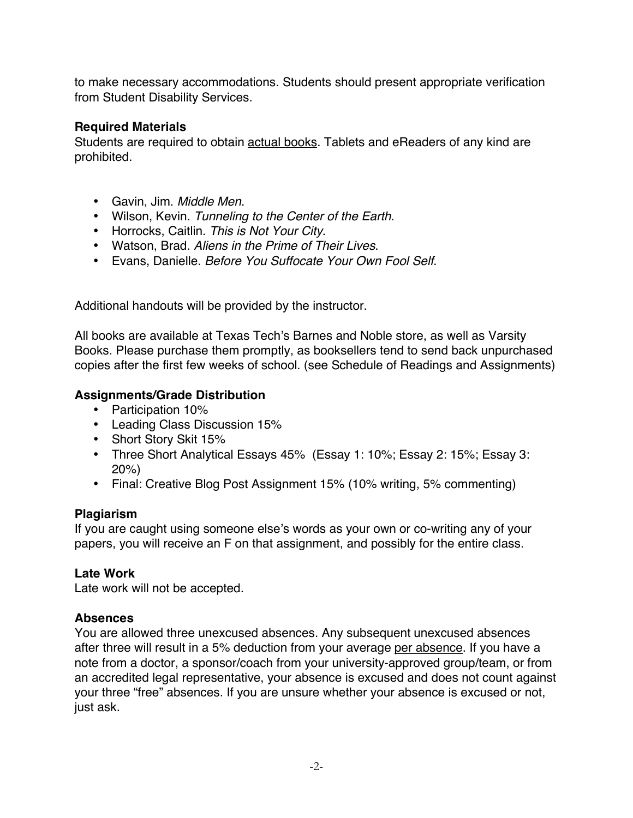to make necessary accommodations. Students should present appropriate verification from Student Disability Services.

## **Required Materials**

Students are required to obtain actual books. Tablets and eReaders of any kind are prohibited.

- Gavin, Jim. *Middle Men*.
- Wilson, Kevin. *Tunneling to the Center of the Earth*.
- Horrocks, Caitlin. *This is Not Your City*.
- Watson, Brad. *Aliens in the Prime of Their Lives*.
- Evans, Danielle. *Before You Suffocate Your Own Fool Self*.

Additional handouts will be provided by the instructor.

All books are available at Texas Tech's Barnes and Noble store, as well as Varsity Books. Please purchase them promptly, as booksellers tend to send back unpurchased copies after the first few weeks of school. (see Schedule of Readings and Assignments)

# **Assignments/Grade Distribution**

- Participation 10%
- Leading Class Discussion 15%
- Short Story Skit 15%
- Three Short Analytical Essays 45% (Essay 1: 10%; Essay 2: 15%; Essay 3: 20%)
- Final: Creative Blog Post Assignment 15% (10% writing, 5% commenting)

## **Plagiarism**

If you are caught using someone else's words as your own or co-writing any of your papers, you will receive an F on that assignment, and possibly for the entire class.

# **Late Work**

Late work will not be accepted.

## **Absences**

You are allowed three unexcused absences. Any subsequent unexcused absences after three will result in a 5% deduction from your average per absence. If you have a note from a doctor, a sponsor/coach from your university-approved group/team, or from an accredited legal representative, your absence is excused and does not count against your three "free" absences. If you are unsure whether your absence is excused or not, just ask.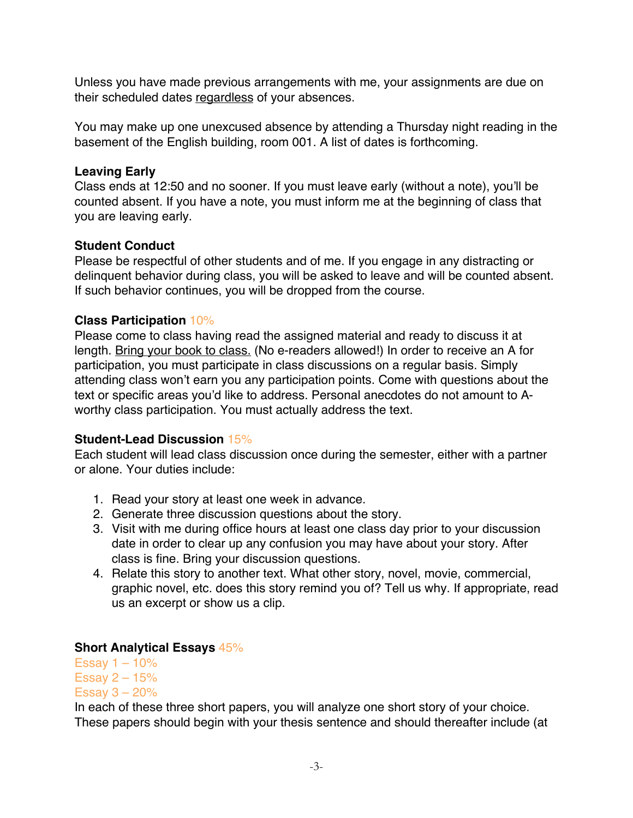Unless you have made previous arrangements with me, your assignments are due on their scheduled dates regardless of your absences.

You may make up one unexcused absence by attending a Thursday night reading in the basement of the English building, room 001. A list of dates is forthcoming.

#### **Leaving Early**

Class ends at 12:50 and no sooner. If you must leave early (without a note), you'll be counted absent. If you have a note, you must inform me at the beginning of class that you are leaving early.

## **Student Conduct**

Please be respectful of other students and of me. If you engage in any distracting or delinquent behavior during class, you will be asked to leave and will be counted absent. If such behavior continues, you will be dropped from the course.

## **Class Participation** 10%

Please come to class having read the assigned material and ready to discuss it at length. Bring your book to class. (No e-readers allowed!) In order to receive an A for participation, you must participate in class discussions on a regular basis. Simply attending class won't earn you any participation points. Come with questions about the text or specific areas you'd like to address. Personal anecdotes do not amount to Aworthy class participation. You must actually address the text.

#### **Student-Lead Discussion** 15%

Each student will lead class discussion once during the semester, either with a partner or alone. Your duties include:

- 1. Read your story at least one week in advance.
- 2. Generate three discussion questions about the story.
- 3. Visit with me during office hours at least one class day prior to your discussion date in order to clear up any confusion you may have about your story. After class is fine. Bring your discussion questions.
- 4. Relate this story to another text. What other story, novel, movie, commercial, graphic novel, etc. does this story remind you of? Tell us why. If appropriate, read us an excerpt or show us a clip.

## **Short Analytical Essays** 45%

Essay  $1 - 10%$ Essay  $2 - 15%$ Essay  $3 - 20%$ 

In each of these three short papers, you will analyze one short story of your choice. These papers should begin with your thesis sentence and should thereafter include (at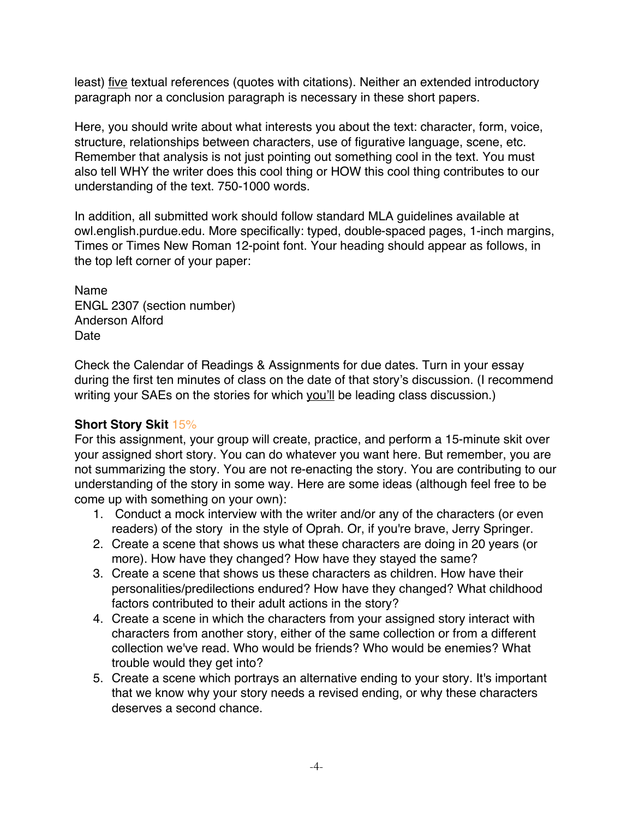least) five textual references (quotes with citations). Neither an extended introductory paragraph nor a conclusion paragraph is necessary in these short papers.

Here, you should write about what interests you about the text: character, form, voice, structure, relationships between characters, use of figurative language, scene, etc. Remember that analysis is not just pointing out something cool in the text. You must also tell WHY the writer does this cool thing or HOW this cool thing contributes to our understanding of the text. 750-1000 words.

In addition, all submitted work should follow standard MLA guidelines available at owl.english.purdue.edu. More specifically: typed, double-spaced pages, 1-inch margins, Times or Times New Roman 12-point font. Your heading should appear as follows, in the top left corner of your paper:

Name ENGL 2307 (section number) Anderson Alford Date

Check the Calendar of Readings & Assignments for due dates. Turn in your essay during the first ten minutes of class on the date of that story's discussion. (I recommend writing your SAEs on the stories for which you'll be leading class discussion.)

## **Short Story Skit** 15%

For this assignment, your group will create, practice, and perform a 15-minute skit over your assigned short story. You can do whatever you want here. But remember, you are not summarizing the story. You are not re-enacting the story. You are contributing to our understanding of the story in some way. Here are some ideas (although feel free to be come up with something on your own):

- 1. Conduct a mock interview with the writer and/or any of the characters (or even readers) of the story in the style of Oprah. Or, if you're brave, Jerry Springer.
- 2. Create a scene that shows us what these characters are doing in 20 years (or more). How have they changed? How have they stayed the same?
- 3. Create a scene that shows us these characters as children. How have their personalities/predilections endured? How have they changed? What childhood factors contributed to their adult actions in the story?
- 4. Create a scene in which the characters from your assigned story interact with characters from another story, either of the same collection or from a different collection we've read. Who would be friends? Who would be enemies? What trouble would they get into?
- 5. Create a scene which portrays an alternative ending to your story. It's important that we know why your story needs a revised ending, or why these characters deserves a second chance.